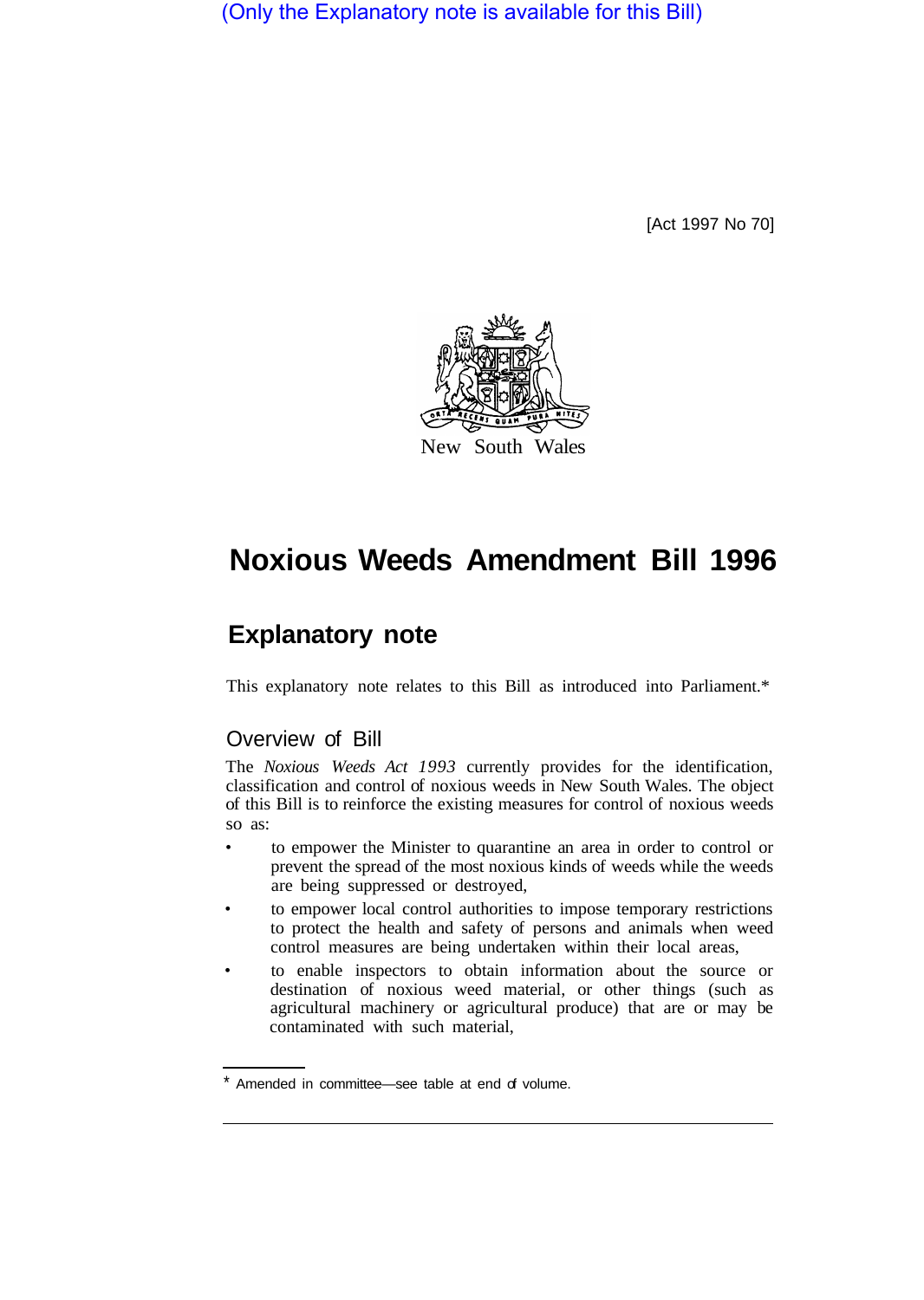(Only the Explanatory note is available for this Bill)

[Act 1997 No 70]



# **Noxious Weeds Amendment Bill 1996**

# **Explanatory note**

This explanatory note relates to this Bill as introduced into Parliament.\*

## Overview of Bill

The *Noxious Weeds Act 1993* currently provides for the identification, classification and control of noxious weeds in New South Wales. The object of this Bill is to reinforce the existing measures for control of noxious weeds so as:

- to empower the Minister to quarantine an area in order to control or prevent the spread of the most noxious kinds of weeds while the weeds are being suppressed or destroyed,
- to empower local control authorities to impose temporary restrictions to protect the health and safety of persons and animals when weed control measures are being undertaken within their local areas,
- to enable inspectors to obtain information about the source or destination of noxious weed material, or other things (such as agricultural machinery or agricultural produce) that are or may be contaminated with such material,

<sup>\*</sup> Amended in committee—see table at end of volume.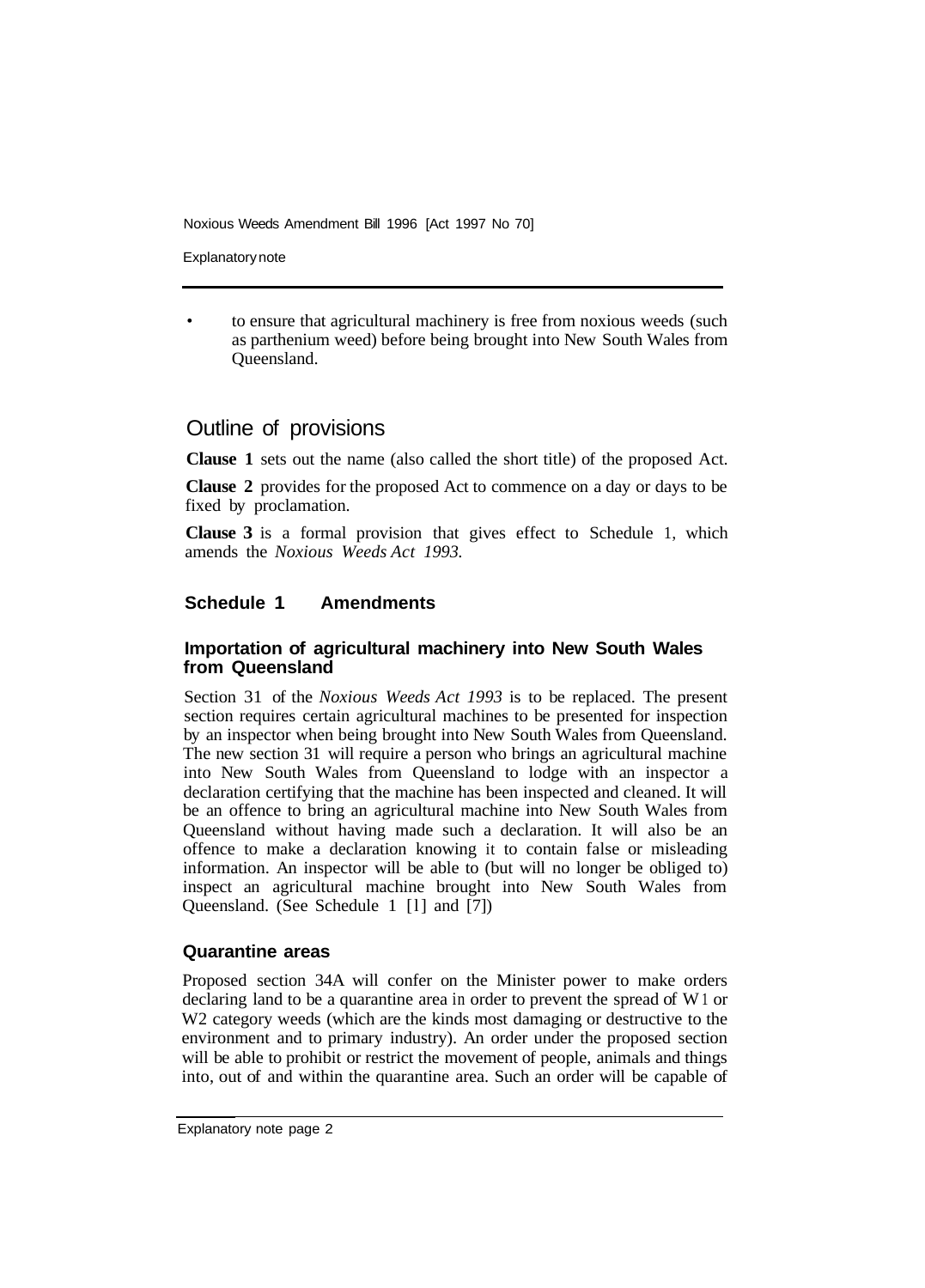Noxious Weeds Amendment Bill 1996 [Act 1997 No 70]

Explanatory note

• to ensure that agricultural machinery is free from noxious weeds (such as parthenium weed) before being brought into New South Wales from Queensland.

### Outline of provisions

**Clause 1** sets out the name (also called the short title) of the proposed Act.

**Clause 2** provides for the proposed Act to commence on a day or days to be fixed by proclamation.

**Clause 3** is a formal provision that gives effect to Schedule 1, which amends the *Noxious Weeds Act 1993.* 

#### **Schedule 1 Amendments**

#### **Importation of agricultural machinery into New South Wales from Queensland**

Section 31 of the *Noxious Weeds Act 1993* is to be replaced. The present section requires certain agricultural machines to be presented for inspection by an inspector when being brought into New South Wales from Queensland. The new section 31 will require a person who brings an agricultural machine into New South Wales from Queensland to lodge with an inspector a declaration certifying that the machine has been inspected and cleaned. It will be an offence to bring an agricultural machine into New South Wales from Queensland without having made such a declaration. It will also be an offence to make a declaration knowing it to contain false or misleading information. An inspector will be able to (but will no longer be obliged to) inspect an agricultural machine brought into New South Wales from Queensland. (See Schedule 1 [l] and [7])

#### **Quarantine areas**

Proposed section 34A will confer on the Minister power to make orders declaring land to be a quarantine area in order to prevent the spread of W 1 or W<sub>2</sub> category weeds (which are the kinds most damaging or destructive to the environment and to primary industry). An order under the proposed section will be able to prohibit or restrict the movement of people, animals and things into, out of and within the quarantine area. Such an order will be capable of